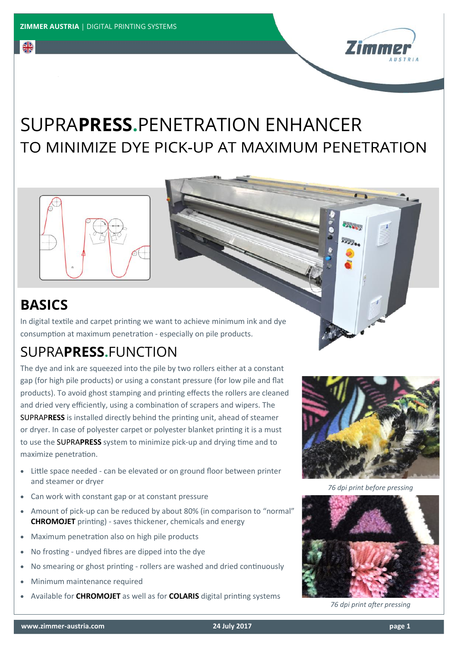

## SUPRA**PRESS.**PENETRATION ENHANCERTO MINIMIZE DYE PICK-UP AT MAXIMUM PENETRATION



## **BASICS**

의능

In digital textile and carpet printing we want to achieve minimum ink and dye consumption at maximum penetration - especially on pile products.

## SUPRA**PRESS.**FUNCTION

The dye and ink are squeezed into the pile by two rollers either at a constant gap (for high pile products) or using a constant pressure (for low pile and flat products). To avoid ghost stamping and printing effects the rollers are cleaned and dried very efficiently, using a combination of scrapers and wipers. The SUPRAP**RESS** is installed directly behind the printing unit, ahead of steamer or dryer. In case of polyester carpet or polyester blanket printing it is a must to use the SUPRA**PRESS** system to minimize pick-up and drying time and to maximize penetration.

- Little space needed can be elevated or on ground floor between printer and steamer or dryer
- Can work with constant gap or at constant pressure
- Amount of pick-up can be reduced by about 80% (in comparison to "normal" **CHROMOJET** printing) - saves thickener, chemicals and energy
- Maximum penetration also on high pile products
- No frosting undyed fibres are dipped into the dye
- No smearing or ghost printing rollers are washed and dried continuously
- Minimum maintenance required
- Available for **CHROMOJET** as well as for **COLARIS** digital printing systems



**ACCA** 

*76 dpi print before pressing*



*76 dpi print after pressing*